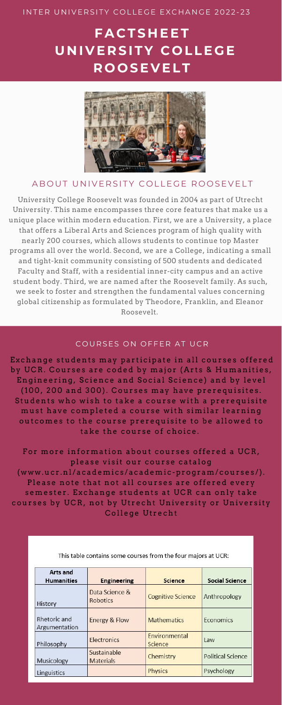University College Roosevelt was founded in 2004 as part of Utrecht University. This name encompasses three core features that make us a unique place within modern education. First, we are a University, a place that offers a Liberal Arts and Sciences program of high quality with nearly 200 courses, which allows students to continue top Master programs all over the world. Second, we are a College, indicating a small and tight-knit community consisting of 500 students and dedicated Faculty and Staff, with a residential inner-city campus and an active student body. Third, we are named after the Roosevelt family. As such, we seek to foster and strengthen the fundamental values concerning global citizenship as formulated by Theodore, Franklin, and Eleanor Roosevelt.

#### COURSES ON OFFER AT UCR

Exchange students may participate in all courses offered by UCR. Courses are coded by major (Arts & Humanities, Engineering, Science and Social Science) and by level (100, 200 and 300). Courses may have prerequisites. Students who wish to take a course with a prerequisite must have completed a course with similar learning out comes to the course prerequisite to be allowed to

# take the course of choice.

For more information about courses offered a UCR, please visit our course catalog (www.ucr.nl/academics/academic-program/courses/). Please note that not all courses are offered every semester. Exchange students at UCR can only take courses by UCR, not by Utrecht University or University College Utrecht

This table contains some courses from the four majors at UCR:

| Arts and<br><b>Humanities</b> | <b>Engineering</b>                | <b>Science</b>           | <b>Social Science</b>    |
|-------------------------------|-----------------------------------|--------------------------|--------------------------|
| History                       | Data Science &<br><b>Robotics</b> | <b>Cognitive Science</b> | Anthropology             |
| Rhetoric and<br>Argumentation | Energy & Flow                     | <b>Mathematics</b>       | Economics                |
| Philosophy                    | <b>Electronics</b>                | Environmental<br>Science | Law                      |
| Musicology                    | Sustainable<br><b>Materials</b>   | Chemistry                | <b>Political Science</b> |
| Linguistics                   |                                   | <b>Physics</b>           | Psychology               |

#### INTER UNIVERSITY COLLEGE EXCHANGE 2022-23

# **FAC TS H EET U N I V E R SITY C O LLEGE R O O SE V ELT**



#### ABOUT UNIVERSITY COLLEGE ROOSEVELT